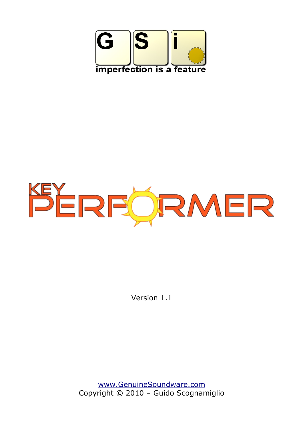



Version 1.1

[www.GenuineSoundware.com](http://www.GenuineSoundware.com/) Copyright © 2010 – Guido Scognamiglio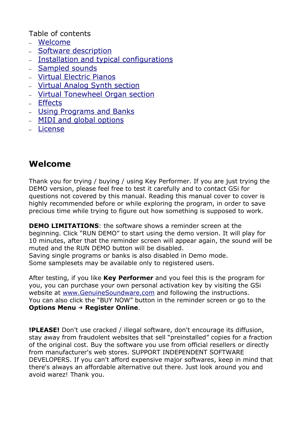Table of contents

- – [Welcome](#page-1-0)
- [Software description](#page-2-0)
- [Installation and typical configurations](#page-3-0)
- – [Sampled sounds](#page-6-0)
- [Virtual Electric Pianos](#page-8-0)
- [Virtual Analog Synth section](#page-9-0)
- [Virtual Tonewheel Organ section](#page-10-0)
- – [Effects](#page-11-0)
- [Using Programs and Banks](#page-13-0)
- [MIDI and global options](#page-14-0)
- – [License](#page-17-0)

## <span id="page-1-0"></span>**Welcome**

Thank you for trying / buying / using Key Performer. If you are just trying the DEMO version, please feel free to test it carefully and to contact GSi for questions not covered by this manual. Reading this manual cover to cover is highly recommended before or while exploring the program, in order to save precious time while trying to figure out how something is supposed to work.

**DEMO LIMITATIONS**: the software shows a reminder screen at the beginning. Click "RUN DEMO" to start using the demo version. It will play for 10 minutes, after that the reminder screen will appear again, the sound will be muted and the RUN DEMO button will be disabled. Saving single programs or banks is also disabled in Demo mode.

Some samplesets may be available only to registered users.

After testing, if you like **Key Performer** and you feel this is the program for you, you can purchase your own personal activation key by visiting the GSi website at [www.GenuineSoundware.com](http://www.GenuineSoundware.com/) and following the instructions. You can also click the "BUY NOW" button in the reminder screen or go to the **Options Menu** → **Register Online**.

**!PLEASE!** Don't use cracked / illegal software, don't encourage its diffusion, stay away from fraudolent websites that sell "preinstalled" copies for a fraction of the original cost. Buy the software you use from official resellers or directly from manufacturer's web stores. SUPPORT INDEPENDENT SOFTWARE DEVELOPERS. If you can't afford expensive major softwares, keep in mind that there's always an affordable alternative out there. Just look around you and avoid warez! Thank you.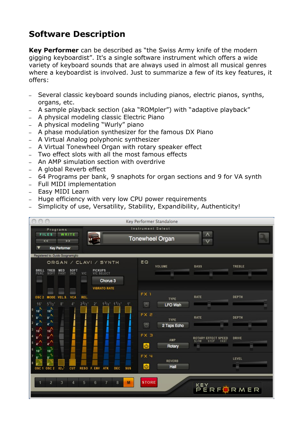## <span id="page-2-0"></span>**Software Description**

**Key Performer** can be described as "the Swiss Army knife of the modern gigging keyboardist". It's a single software instrument which offers a wide variety of keyboard sounds that are always used in almost all musical genres where a keyboardist is involved. Just to summarize a few of its key features, it offers:

- Several classic keyboard sounds including pianos, electric pianos, synths, organs, etc.
- A sample playback section (aka "ROMpler") with "adaptive playback"
- A physical modeling classic Electric Piano
- A physical modeling "Wurly" piano
- A phase modulation synthesizer for the famous DX Piano
- A Virtual Analog polyphonic synthesizer
- A Virtual Tonewheel Organ with rotary speaker effect
- Two effect slots with all the most famous effects
- An AMP simulation section with overdrive
- A global Reverb effect
- 64 Programs per bank, 9 snaphots for organ sections and 9 for VA synth
- Full MIDI implementation
- Easy MIDI Learn
- Huge efficiency with very low CPU power requirements
- Simplicity of use, Versatility, Stability, Expandibility, Authenticity!

| Key Performer Standalone                                                                                                                                    |                                                                              |  |  |  |
|-------------------------------------------------------------------------------------------------------------------------------------------------------------|------------------------------------------------------------------------------|--|--|--|
| Instrument Select<br>Programs                                                                                                                               |                                                                              |  |  |  |
| WRITE<br><b>FILES</b><br><<<br>>                                                                                                                            | Λ<br><b>Tonewheel Organ</b>                                                  |  |  |  |
| <b>Key Performer</b>                                                                                                                                        |                                                                              |  |  |  |
| Registered to: Guido Scognamiglio                                                                                                                           |                                                                              |  |  |  |
| ORGAN / CLAVI / SYNTH                                                                                                                                       | EQ<br><b>BASS</b><br>VOLUME<br>TREBLE                                        |  |  |  |
| <b>MED</b><br>PICKUPS<br>V/C SELECT<br><b>TREB</b><br>SOFT<br><b>BRILL</b><br>FAST<br>3RD<br><b>VIC</b><br>SOFT<br>PERC                                     |                                                                              |  |  |  |
| -<br>Chorus <sub>3</sub>                                                                                                                                    |                                                                              |  |  |  |
| <b>VIBRATO RATE</b>                                                                                                                                         |                                                                              |  |  |  |
| REL.<br>OSC <sub>2</sub><br><b>MODE</b><br><b>VCA</b><br>VEL S                                                                                              | FX <sub>1</sub><br><b>RATE</b><br><b>DEPTH</b><br>TYPE                       |  |  |  |
| $5^{1/3}$<br>$2^{2}/3$<br>$1^3/5$ ' $1^1/3$ '<br>8 <sup>1</sup><br>2 <sup>1</sup><br>16'<br>$\mathbf{4}$<br>1'<br>16 <sup>1</sup><br><b>16</b> <sup>1</sup> | $\circlearrowright$<br><b>LFO Wah</b>                                        |  |  |  |
| 8.1<br>N<br>8'                                                                                                                                              | FX <sub>2</sub><br><b>RATE</b><br><b>DEPTH</b>                               |  |  |  |
| $\mathbf{q}^{\prime}$ N<br>N<br>P                                                                                                                           | TYPE<br>$\overline{C}$<br>2 Taps Echo                                        |  |  |  |
| $16^{\circ}$<br>16                                                                                                                                          | FX <sub>3</sub>                                                              |  |  |  |
| 8.1<br>8 <sup>7</sup><br>$4^{1}$<br>5<br>A,                                                                                                                 | <b>DRIVE</b><br><b>EFFECT SPEED</b><br>ROTARY<br>AMP<br>SLOW<br>FAST<br>STOP |  |  |  |
| $16^{7}$<br>16 <sup>h</sup>                                                                                                                                 | $\bullet$<br>Rotary                                                          |  |  |  |
| J,<br>Ф.<br>8 <sup>1</sup>                                                                                                                                  | FX 4<br>LEVEL<br><b>REVERB</b>                                               |  |  |  |
| OSC <sub>1</sub> OSC <sub>2</sub><br>$02 -$<br>DEC<br>CUT<br><b>RESO F. ENV</b><br><b>ATK</b><br><b>SUS</b>                                                 | $\bullet$<br>Hall                                                            |  |  |  |
|                                                                                                                                                             |                                                                              |  |  |  |
| 3<br>$\overline{\phantom{a}}$<br>5<br>6<br>8<br>M                                                                                                           | <b>STORE</b>                                                                 |  |  |  |
|                                                                                                                                                             | KEY<br>PERFURMER                                                             |  |  |  |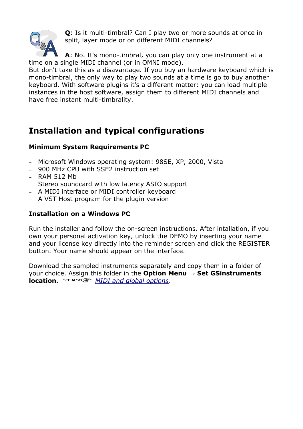

**Q**: Is it multi-timbral? Can I play two or more sounds at once in split, layer mode or on different MIDI channels?

**A**: No. It's mono-timbral, you can play only one instrument at a time on a single MIDI channel (or in OMNI mode).

But don't take this as a disavantage. If you buy an hardware keyboard which is mono-timbral, the only way to play two sounds at a time is go to buy another keyboard. With software plugins it's a different matter: you can load multiple instances in the host software, assign them to different MIDI channels and have free instant multi-timbrality.

## <span id="page-3-0"></span>**Installation and typical configurations**

## **Minimum System Requirements PC**

- Microsoft Windows operating system: 98SE, XP, 2000, Vista
- 900 MHz CPU with SSE2 instruction set
- $-$  RAM 512 Mb
- Stereo soundcard with low latency ASIO support
- A MIDI interface or MIDI controller keyboard
- A VST Host program for the plugin version

## **Installation on a Windows PC**

Run the installer and follow the on-screen instructions. After intallation, if you own your personal activation key, unlock the DEMO by inserting your name and your license key directly into the reminder screen and click the REGISTER button. Your name should appear on the interface.

Download the sampled instruments separately and copy them in a folder of your choice. Assign this folder in the **Option Menu** → **Set GSinstruments location**. *[MIDI and global options](#page-14-0)*.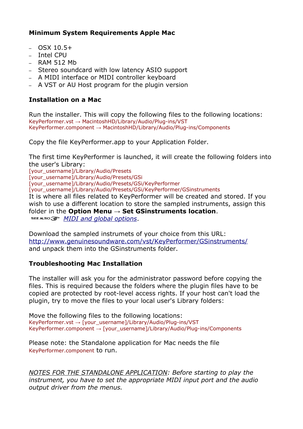### **Minimum System Requirements Apple Mac**

- $-$  OSX 10.5+
- Intel CPU
- RAM 512 Mb
- Stereo soundcard with low latency ASIO support
- A MIDI interface or MIDI controller keyboard
- A VST or AU Host program for the plugin version

### **Installation on a Mac**

Run the installer. This will copy the following files to the following locations: KeyPerformer.vst → MacintoshHD/Library/Audio/Plug-ins/VST KeyPerformer.component → MacintoshHD/Library/Audio/Plug-ins/Components

Copy the file KeyPerformer.app to your Application Folder.

The first time KeyPerformer is launched, it will create the following folders into the user's Library:

[your\_username]/Library/Audio/Presets [your\_username]/Library/Audio/Presets/GSi [your\_username]/Library/Audio/Presets/GSi/KeyPerformer [your\_username]/Library/Audio/Presets/GSi/KeyPerformer/GSinstruments It is where all files related to KeyPerformer will be created and stored. If you wish to use a different location to store the sampled instruments, assign this folder in the **Option Menu** → **Set GSinstruments location**. *[MIDI and global options](#page-14-0)*.

Download the sampled instrumets of your choice from this URL: <http://www.genuinesoundware.com/vst/KeyPerformer/GSinstruments/> and unpack them into the GSinstruments folder.

#### **Troubleshooting Mac Installation**

The installer will ask you for the administrator password before copying the files. This is required because the folders where the plugin files have to be copied are protected by root-level access rights. If your host can't load the plugin, try to move the files to your local user's Library folders:

Move the following files to the following locations: KeyPerformer.vst → [your\_username]/Library/Audio/Plug-ins/VST KeyPerformer.component → [your\_username]/Library/Audio/Plug-ins/Components

Please note: the Standalone application for Mac needs the file KeyPerformer.component to run.

*NOTES FOR THE STANDALONE APPLICATION: Before starting to play the instrument, you have to set the appropriate MIDI input port and the audio output driver from the menus.*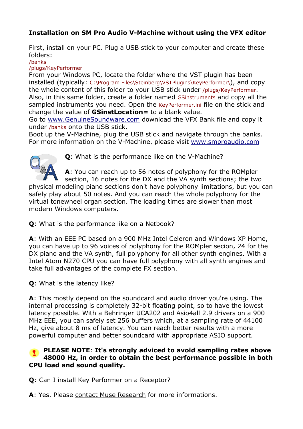## **Installation on SM Pro Audio V-Machine without using the VFX editor**

First, install on your PC. Plug a USB stick to your computer and create these folders:

/banks

/plugs/KeyPerformer

From your Windows PC, locate the folder where the VST plugin has been installed (typically: C:\Program Files\Steinberg\VSTPlugins\KeyPerformer\), and copy the whole content of this folder to your USB stick under /plugs/KeyPerformer. Also, in this same folder, create a folder named GSinstruments and copy all the sampled instruments you need. Open the KeyPerformer.ini file on the stick and change the value of **GSinstLocation=** to a blank value.

Go to [www.GenuineSoundware.com](http://www.GenuineSoundware.com/) download the VFX Bank file and copy it under /banks onto the USB stick.

Boot up the V-Machine, plug the USB stick and navigate through the banks. For more information on the V-Machine, please visit [www.smproaudio.com](http://www.smproaudio.com/)



**Q**: What is the performance like on the V-Machine?

**A**: You can reach up to 56 notes of polyphony for the ROMpler section, 16 notes for the DX and the VA synth sections; the two

physical modeling piano sections don't have polyphony limitations, but you can safely play about 50 notes. And you can reach the whole polyphony for the virtual tonewheel organ section. The loading times are slower than most modern Windows computers.

**Q**: What is the performance like on a Netbook?

**A**: With an EEE PC based on a 900 MHz Intel Celeron and Windows XP Home, you can have up to 96 voices of polyphony for the ROMpler secion, 24 for the DX piano and the VA synth, full polyphony for all other synth engines. With a Intel Atom N270 CPU you can have full polyphony with all synth engines and take full advantages of the complete FX section.

**Q**: What is the latency like?

**A**: This mostly depend on the soundcard and audio driver you're using. The internal processing is completely 32-bit floating point, so to have the lowest latency possible. With a Behringer UCA202 and Asio4all 2.9 drivers on a 900 MHz EEE, you can safely set 256 buffers which, at a sampling rate of 44100 Hz, give about 8 ms of latency. You can reach better results with a more powerful computer and better soundcard with appropriate ASIO support.

#### **PLEASE NOTE**: **It's strongly adviced to avoid sampling rates above 48000 Hz, in order to obtain the best performance possible in both CPU load and sound quality.**

**Q**: Can I install Key Performer on a Receptor?

**A**: Yes. Please contact Muse Research for more informations.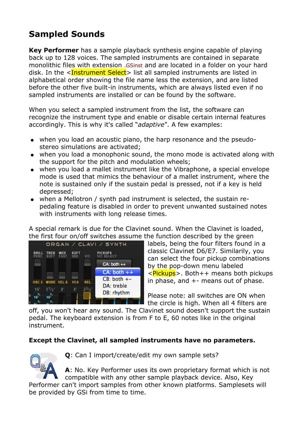# <span id="page-6-0"></span>**Sampled Sounds**

**Key Performer** has a sample playback synthesis engine capable of playing back up to 128 voices. The sampled instruments are contained in separate monolithic files with extension .GSinst and are located in a folder on your hard disk. In the <Instrument Select> list all sampled instruments are listed in alphabetical order showing the file name less the extension, and are listed before the other five built-in instruments, which are always listed even if no sampled instruments are installed or can be found by the software.

When you select a sampled instrument from the list, the software can recognize the instrument type and enable or disable certain internal features accordingly. This is why it's called "*adaptive*". A few examples:

- when you load an acoustic piano, the harp resonance and the pseudostereo simulations are activated;
- when you load a monophonic sound, the mono mode is activated along with the support for the pitch and modulation wheels;
- when you load a mallet instrument like the Vibraphone, a special envelope mode is used that mimics the behaviour of a mallet instrument, where the note is sustained only if the sustain pedal is pressed, not if a key is held depressed;
- when a Mellotron / synth pad instrument is selected, the sustain repedaling feature is disabled in order to prevent unwanted sustained notes with instruments with long release times.

A special remark is due for the Clavinet sound. When the Clavinet is loaded, the first four on/off switches assume the function described by the green



labels, being the four filters found in a classic Clavinet D6/E7. Similarily, you can select the four pickup combinations by the pop-down menu labeled <Pickups>. Both++ means both pickups in phase, and  $+$ - means out of phase.

Please note: all switches are ON when the circle is high. When all 4 filters are

off, you won't hear any sound. The Clavinet sound doesn't support the sustain pedal. The keyboard extension is from F to E, 60 notes like in the original instrument.

## **Except the Clavinet, all sampled instruments have no parameters.**



**Q**: Can I import/create/edit my own sample sets?

**A**: No. Key Performer uses its own proprietary format which is not compatible with any other sample playback device. Also, Key

Performer can't import samples from other known platforms. Samplesets will be provided by GSi from time to time.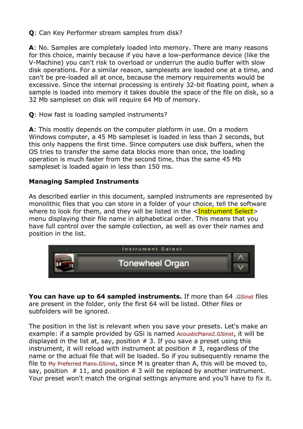**Q**: Can Key Performer stream samples from disk?

**A**: No. Samples are completely loaded into memory. There are many reasons for this choice, mainly because if you have a low-performance device (like the V-Machine) you can't risk to overload or underrun the audio buffer with slow disk operations. For a similar reason, samplesets are loaded one at a time, and can't be pre-loaded all at once, because the memory requirements would be excessive. Since the internal processing is entirely 32-bit floating point, when a sample is loaded into memory it takes double the space of the file on disk, so a 32 Mb sampleset on disk will require 64 Mb of memory.

**Q**: How fast is loading sampled instruments?

**A**: This mostly depends on the computer platform in use. On a modern Windows computer, a 45 Mb sampleset is loaded in less than 2 seconds, but this only happens the first time. Since computers use disk buffers, when the OS tries to transfer the same data blocks more than once, the loading operation is much faster from the second time, thus the same 45 Mb sampleset is loaded again in less than 150 ms.

#### **Managing Sampled Instruments**

As described earlier in this document, sampled instruments are represented by monolithic files that you can store in a folder of your choice, tell the software where to look for them, and they will be listed in the  $\leq$ Instrument Select  $>$ menu displaying their file name in alphabetical order. This means that you have full control over the sample collection, as well as over their names and position in the list.



**You can have up to 64 sampled instruments.** If more than 64 .GSinst files are present in the folder, only the first 64 will be listed. Other files or subfolders will be ignored.

The position in the list is relevant when you save your presets. Let's make an example: if a sample provided by GSi is named AcousticPiano2.GSinst, it will be displayed in the list at, say, position  $# 3$ . If you save a preset using this instrument, it will reload with instrument at position # 3, regardless of the name or the actual file that will be loaded. So if you subsequently rename the file to My Preferred Piano.GSinst, since M is greater than A, this will be moved to, say, position  $# 11$ , and position  $# 3$  will be replaced by another instrument. Your preset won't match the original settings anymore and you'll have to fix it.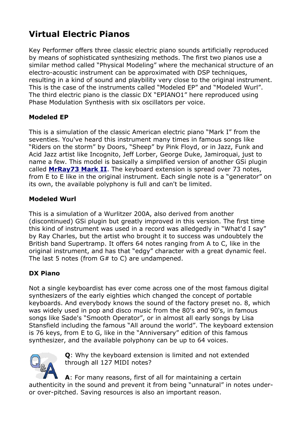# <span id="page-8-0"></span>**Virtual Electric Pianos**

Key Performer offers three classic electric piano sounds artificially reproduced by means of sophisticated synthesizing methods. The first two pianos use a similar method called "Physical Modeling" where the mechanical structure of an electro-acoustic instrument can be approximated with DSP techniques, resulting in a kind of sound and playbility very close to the original instrument. This is the case of the instruments called "Modeled EP" and "Modeled Wurl". The third electric piano is the classic DX "EPIANO1" here reproduced using Phase Modulation Synthesis with six oscillators per voice.

### **Modeled EP**

This is a simulation of the classic American electric piano "Mark I" from the seventies. You've heard this instrument many times in famous songs like "Riders on the storm" by Doors, "Sheep" by Pink Floyd, or in Jazz, Funk and Acid Jazz artist like Incognito, Jeff Lorber, George Duke, Jamiroquai, just to name a few. This model is basically a simplified version of another GSi plugin called **[MrRay73 Mark II](http://www.genuinesoundware.com/?a=showproduct&b=27)**. The keyboard extension is spread over 73 notes, from E to E like in the original instrument. Each single note is a "generator" on its own, the available polyphony is full and can't be limited.

### **Modeled Wurl**

This is a simulation of a Wurlitzer 200A, also derived from another (discontinued) GSi plugin but greatly improved in this version. The first time this kind of instrument was used in a record was alledgedly in "What'd I say" by Ray Charles, but the artist who brought it to success was undoubtely the British band Supertramp. It offers 64 notes ranging from A to C, like in the original instrument, and has that "edgy" character with a great dynamic feel. The last 5 notes (from  $G#$  to C) are undampened.

#### **DX Piano**

Not a single keyboardist has ever come across one of the most famous digital synthesizers of the early eighties which changed the concept of portable keyboards. And everybody knows the sound of the factory preset no. 8, which was widely used in pop and disco music from the 80's and 90's, in famous songs like Sade's "Smooth Operator", or in almost all early songs by Lisa Stansfield including the famous "All around the world". The keyboard extension is 76 keys, from E to G, like in the "Anniversary" edition of this famous synthesizer, and the available polyphony can be up to 64 voices.



**Q**: Why the keyboard extension is limited and not extended through all 127 MIDI notes?

**A**: For many reasons, first of all for maintaining a certain authenticity in the sound and prevent it from being "unnatural" in notes underor over-pitched. Saving resources is also an important reason.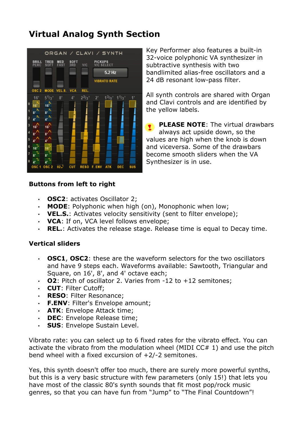## <span id="page-9-0"></span>**Virtual Analog Synth Section**



Key Performer also features a built-in 32-voice polyphonic VA synthesizer in subtractive synthesis with two bandlimited alias-free oscillators and a 24 dB resonant low-pass filter.

All synth controls are shared with Organ and Clavi controls and are identified by the yellow labels.

**PLEASE NOTE:** The virtual drawbars always act upside down, so the values are high when the knob is down and viceversa. Some of the drawbars become smooth sliders when the VA Synthesizer is in use.

#### **Buttons from left to right**

- **OSC2**: activates Oscillator 2;
- **MODE**: Polyphonic when high (on), Monophonic when low;
- **VEL.S.**: Activates velocity sensitivity (sent to filter envelope);
- **VCA**: If on, VCA level follows envelope;
- **REL.**: Activates the release stage. Release time is equal to Decay time.

#### **Vertical sliders**

- **OSC1**, **OSC2**: these are the waveform selectors for the two oscillators and have 9 steps each. Waveforms available: Sawtooth, Triangular and Square, on 16', 8', and 4' octave each;
- **02**: Pitch of oscillator 2. Varies from -12 to +12 semitones;
- **CUT**: Filter Cutoff;
- **RESO**: Filter Resonance;
- **F.ENV**: Filter's Envelope amount;
- **ATK**: Envelope Attack time;
- **DEC**: Envelope Release time;
- **SUS**: Envelope Sustain Level.

Vibrato rate: you can select up to 6 fixed rates for the vibrato effect. You can activate the vibrato from the modulation wheel (MIDI  $CC# 1$ ) and use the pitch bend wheel with a fixed excursion of +2/-2 semitones.

Yes, this synth doesn't offer too much, there are surely more powerful synths, but this is a very basic structure with few parameters (only 15!) that lets you have most of the classic 80's synth sounds that fit most pop/rock music genres, so that you can have fun from "Jump" to "The Final Countdown"!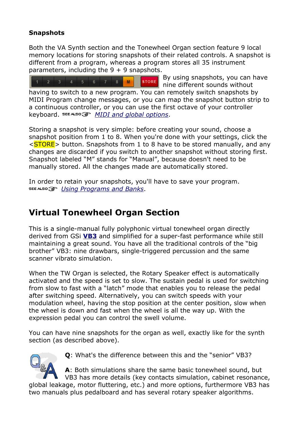### **Snapshots**

Both the VA Synth section and the Tonewheel Organ section feature 9 local memory locations for storing snapshots of their related controls. A snapshot is different from a program, whereas a program stores all 35 instrument parameters, including the  $9 + 9$  snapshots.

By using snapshots, you can have

 $4 \quad 5$ **STORE**  $6 \quad 7 \quad 8$  $3<sup>-1</sup>$  $M$ nine different sounds without having to switch to a new program. You can remotely switch snapshots by MIDI Program change messages, or you can map the snapshot button strip to a continuous controller, or you can use the first octave of your controller keyboard. *[MIDI and global options](#page-14-0)*.

Storing a snapshot is very simple: before creating your sound, choose a snapshot position from 1 to 8. When you're done with your settings, click the <STORE> button. Snapshots from 1 to 8 have to be stored manually, and any changes are discarded if you switch to another snapshot without storing first. Snapshot labeled "M" stands for "Manual", because doesn't need to be manually stored. All the changes made are automatically stored.

In order to retain your snapshots, you'll have to save your program. *[Using Programs and Banks](#page-13-0)*.

## <span id="page-10-0"></span>**Virtual Tonewheel Organ Section**

This is a single-manual fully polyphonic virtual tonewheel organ directly derived from GSi **[VB3](http://www.genuinesoundware.com/?a=showproduct&b=24)** and simplified for a super-fast performance while still maintaining a great sound. You have all the traditional controls of the "big brother" VB3: nine drawbars, single-triggered percussion and the same scanner vibrato simulation.

When the TW Organ is selected, the Rotary Speaker effect is automatically activated and the speed is set to slow. The sustain pedal is used for switching from slow to fast with a "latch" mode that enables you to release the pedal after switching speed. Alternatively, you can switch speeds with your modulation wheel, having the stop position at the center position, slow when the wheel is down and fast when the wheel is all the way up. With the expression pedal you can control the swell volume.

You can have nine snapshots for the organ as well, exactly like for the synth section (as described above).



**Q**: What's the difference between this and the "senior" VB3?

**A**: Both simulations share the same basic tonewheel sound, but VB3 has more details (key contacts simulation, cabinet resonance, global leakage, motor fluttering, etc.) and more options, furthermore VB3 has two manuals plus pedalboard and has several rotary speaker algorithms.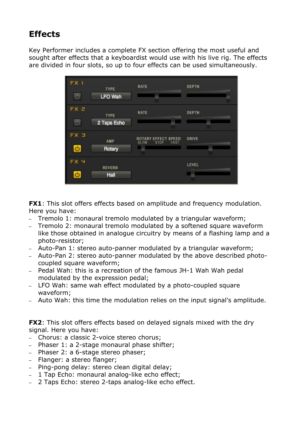## <span id="page-11-0"></span>**Effects**

Key Performer includes a complete FX section offering the most useful and sought after effects that a keyboardist would use with his live rig. The effects are divided in four slots, so up to four effects can be used simultaneously.

| FX <sub>1</sub><br>$\circlearrowleft$ | <b>TYPE</b><br><b>LFO Wah</b> | <b>RATE</b>                                                                | <b>DEPTH</b> |
|---------------------------------------|-------------------------------|----------------------------------------------------------------------------|--------------|
| FX <sub>2</sub><br>7ly                | <b>TYPE</b><br>2 Taps Echo    | <b>RATE</b>                                                                | <b>DEPTH</b> |
| FX <sub>3</sub><br>O                  | AMP<br>Rotary                 | <b>EFFECT SPEED</b><br><b>ROTARY</b><br><b>STOP</b><br><b>SLOW</b><br>FAST | <b>DRIVE</b> |
| FX4<br>Φ                              | <b>REVERB</b><br>Hall         |                                                                            | LEVEL        |

**FX1**: This slot offers effects based on amplitude and frequency modulation. Here you have:

- Tremolo 1: monaural tremolo modulated by a triangular waveform;
- Tremolo 2: monaural tremolo modulated by a softened square waveform like those obtained in analogue circuitry by means of a flashing lamp and a photo-resistor;
- Auto-Pan 1: stereo auto-panner modulated by a triangular waveform;
- Auto-Pan 2: stereo auto-panner modulated by the above described photocoupled square waveform;
- Pedal Wah: this is a recreation of the famous JH-1 Wah Wah pedal modulated by the expression pedal;
- LFO Wah: same wah effect modulated by a photo-coupled square waveform;
- Auto Wah: this time the modulation relies on the input signal's amplitude.

**FX2**: This slot offers effects based on delayed signals mixed with the dry signal. Here you have:

- Chorus: a classic 2-voice stereo chorus;
- Phaser 1: a 2-stage monaural phase shifter;
- Phaser 2: a 6-stage stereo phaser;
- Flanger: a stereo flanger;
- Ping-pong delay: stereo clean digital delay;
- 1 Tap Echo: monaural analog-like echo effect;
- 2 Taps Echo: stereo 2-taps analog-like echo effect.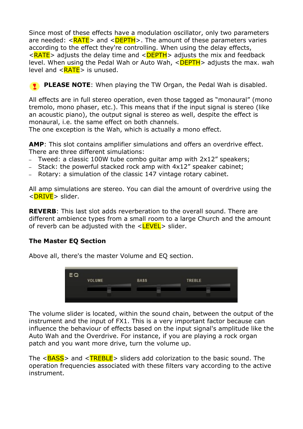Since most of these effects have a modulation oscillator, only two parameters are needed:  $\langle RATE \rangle$  and  $\langle DEPTH \rangle$ . The amount of these parameters varies according to the effect they're controlling. When using the delay effects,  $\langle RATE \rangle$  adjusts the delay time and  $\langle DEPTH \rangle$  adjusts the mix and feedback level. When using the Pedal Wah or Auto Wah,  $\leq$ DEPTH $>$  adjusts the max. wah level and  $\langle RATE \rangle$  is unused.

**PLEASE NOTE:** When playing the TW Organ, the Pedal Wah is disabled.

All effects are in full stereo operation, even those tagged as "monaural" (mono tremolo, mono phaser, etc.). This means that if the input signal is stereo (like an acoustic piano), the output signal is stereo as well, despite the effect is monaural, i.e. the same effect on both channels.

The one exception is the Wah, which is actually a mono effect.

**AMP**: This slot contains amplifier simulations and offers an overdrive effect. There are three different simulations:

- Tweed: a classic 100W tube combo guitar amp with 2x12" speakers;
- Stack: the powerful stacked rock amp with 4x12" speaker cabinet;
- Rotary: a simulation of the classic 147 vintage rotary cabinet.

All amp simulations are stereo. You can dial the amount of overdrive using the <DRIVE> slider.

**REVERB**: This last slot adds reverberation to the overall sound. There are different ambience types from a small room to a large Church and the amount of reverb can be adjusted with the  $\langle$ LEVEL $>$  slider.

## **The Master EQ Section**

Above all, there's the master Volume and EQ section.



The volume slider is located, within the sound chain, between the output of the instrument and the input of FX1. This is a very important factor because can influence the behaviour of effects based on the input signal's amplitude like the Auto Wah and the Overdrive. For instance, if you are playing a rock organ patch and you want more drive, turn the volume up.

The  $\langle BASS \rangle$  and  $\langle TREBLE \rangle$  sliders add colorization to the basic sound. The operation frequencies associated with these filters vary according to the active instrument.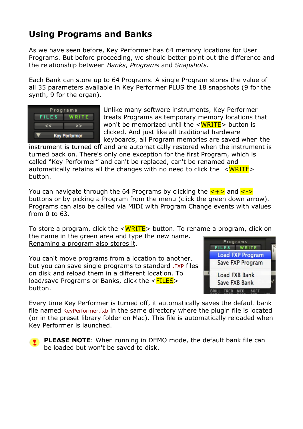## <span id="page-13-0"></span>**Using Programs and Banks**

As we have seen before, Key Performer has 64 memory locations for User Programs. But before proceeding, we should better point out the difference and the relationship between *Banks*, *Programs* and *Snapshots*.

Each Bank can store up to 64 Programs. A single Program stores the value of all 35 parameters available in Key Performer PLUS the 18 snapshots (9 for the synth, 9 for the organ).



Unlike many software instruments, Key Performer treats Programs as temporary memory locations that won't be memorized until the  $\langle \text{WRITE} \rangle$  button is clicked. And just like all traditional hardware keyboards, all Program memories are saved when the

instrument is turned off and are automatically restored when the instrument is turned back on. There's only one exception for the first Program, which is called "Key Performer" and can't be replaced, can't be renamed and automatically retains all the changes with no need to click the  $\langle \text{WRITE} \rangle$ button.

You can navigate through the 64 Programs by clicking the  $\langle + \rangle$  and  $\langle - \rangle$ buttons or by picking a Program from the menu (click the green down arrow). Programs can also be called via MIDI with Program Change events with values from 0 to 63.

To store a program, click the  $\langle \text{WRITE} \rangle$  button. To rename a program, click on the name in the green area and type the new name. Programs Renaming a program also stores it.

You can't move programs from a location to another, but you can save single programs to standard .FXP files on disk and reload them in a different location. To load/save Programs or Banks, click the  $\leq$  FILES > button.



Every time Key Performer is turned off, it automatically saves the default bank file named KeyPerformer.fxb in the same directory where the plugin file is located (or in the preset library folder on Mac). This file is automatically reloaded when Key Performer is launched.

**PLEASE NOTE:** When running in DEMO mode, the default bank file can be loaded but won't be saved to disk.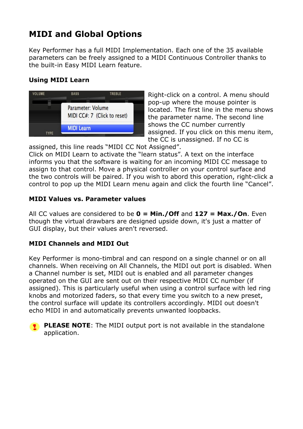# <span id="page-14-0"></span>**MIDI and Global Options**

Key Performer has a full MIDI Implementation. Each one of the 35 available parameters can be freely assigned to a MIDI Continuous Controller thanks to the built-in Easy MIDI Learn feature.

## **Using MIDI Learn**



Right-click on a control. A menu should pop-up where the mouse pointer is located. The first line in the menu shows the parameter name. The second line shows the CC number currently assigned. If you click on this menu item, the CC is unassigned. If no CC is

assigned, this line reads "MIDI CC Not Assigned".

Click on MIDI Learn to activate the "learn status". A text on the interface informs you that the software is waiting for an incoming MIDI CC message to assign to that control. Move a physical controller on your control surface and the two controls will be paired. If you wish to abord this operation, right-click a control to pop up the MIDI Learn menu again and click the fourth line "Cancel".

#### **MIDI Values vs. Parameter values**

All CC values are considered to be **0 = Min./Off** and **127 = Max./On**. Even though the virtual drawbars are designed upside down, it's just a matter of GUI display, but their values aren't reversed.

## **MIDI Channels and MIDI Out**

Key Performer is mono-timbral and can respond on a single channel or on all channels. When receiving on All Channels, the MIDI out port is disabled. When a Channel number is set, MIDI out is enabled and all parameter changes operated on the GUI are sent out on their respective MIDI CC number (if assigned). This is particularly useful when using a control surface with led ring knobs and motorized faders, so that every time you switch to a new preset, the control surface will update its controllers accordingly. MIDI out doesn't echo MIDI in and automatically prevents unwanted loopbacks.

**PLEASE NOTE:** The MIDI output port is not available in the standalone application.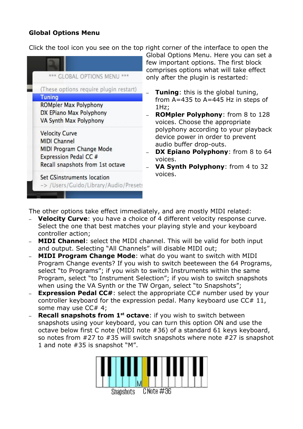### **Global Options Menu**

Click the tool icon you see on the top right corner of the interface to open the



Global Options Menu. Here you can set a few important options. The first block comprises options what will take effect only after the plugin is restarted:

- **Tuning:** this is the global tuning, from A=435 to A=445 Hz in steps of 1Hz;
- **ROMpler Polyphony**: from 8 to 128 voices. Choose the appropriate polyphony according to your playback device power in order to prevent audio buffer drop-outs.
- **DX Epiano Polyphony:** from 8 to 64 voices.
- **VA Synth Polyphony**: from 4 to 32 voices.

The other options take effect immediately, and are mostly MIDI related:

- **Velocity Curve**: you have a choice of 4 different velocity response curve. Select the one that best matches your playing style and your keyboard controller action;
- **MIDI Channel**: select the MIDI channel. This will be valid for both input and output. Selecting "All Channels" will disable MIDI out;
- **MIDI Program Change Mode**: what do you want to switch with MIDI Program Change events? If you wish to switch beeteween the 64 Programs, select "to Programs"; if you wish to switch Instruments within the same Program, select "to Instrument Selection"; if you wish to switch snapshots when using the VA Synth or the TW Organ, select "to Snapshots";
- **Expression Pedal CC#:** select the appropriate CC# number used by your controller keyboard for the expression pedal. Many keyboard use CC# 11, some may use CC# 4;
- **Recall snapshots from 1<sup>st</sup> octave**: if you wish to switch between snapshots using your keyboard, you can turn this option ON and use the octave below first C note (MIDI note #36) of a standard 61 keys keyboard, so notes from #27 to #35 will switch snapshots where note #27 is snapshot 1 and note #35 is snapshot "M".

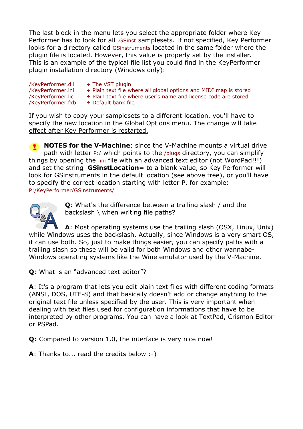The last block in the menu lets you select the appropriate folder where Key Performer has to look for all .GSinst samplesets. If not specified, Key Performer looks for a directory called GSinstruments located in the same folder where the plugin file is located. However, this value is properly set by the installer. This is an example of the typical file list you could find in the KeyPerformer plugin installation directory (Windows only):

- 
- /KeyPerformer.dll ← The VST plugin
	-
- /KeyPerformer.ini ← Plain text file where all global options and MIDI map is stored /KeyPerformer.lic ← Plain text file where user's name and license code are stored ← Plain text file where user's name and license code are stored
- 
- /KeyPerformer.fxb ← Default bank file

If you wish to copy your samplesets to a different location, you'll have to specify the new location in the Global Options menu. The change will take effect after Key Performer is restarted.

**NOTES for the V-Machine**: since the V-Machine mounts a virtual drive path with letter P:/ which points to the /plugs directory, you can simplify things by opening the .ini file with an advanced text editor (not WordPad!!!) and set the string **GSinstLocation=** to a blank value, so Key Performer will look for GSinstruments in the default location (see above tree), or you'll have to specify the correct location starting with letter P, for example: P:/KeyPerformer/GSinstruments/



**Q**: What's the difference between a trailing slash / and the backslash \ when writing file paths?

**A**: Most operating systems use the trailing slash (OSX, Linux, Unix) while Windows uses the backslash. Actually, since Windows is a very smart OS, it can use both. So, just to make things easier, you can specify paths with a trailing slash so these will be valid for both Windows and other wannabe-Windows operating systems like the Wine emulator used by the V-Machine.

**Q**: What is an "advanced text editor"?

**A**: It's a program that lets you edit plain text files with different coding formats (ANSI, DOS, UTF-8) and that basically doesn't add or change anything to the original text file unless specified by the user. This is very important when dealing with text files used for configuration informations that have to be interpreted by other programs. You can have a look at TextPad, Crismon Editor or PSPad.

**Q**: Compared to version 1.0, the interface is very nice now!

**A**: Thanks to... read the credits below :-)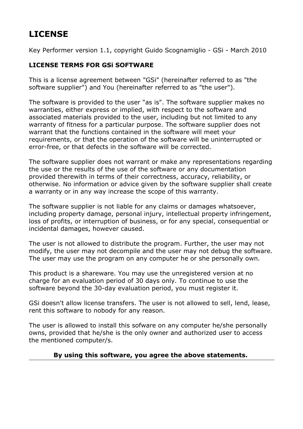# <span id="page-17-0"></span>**LICENSE**

Key Performer version 1.1, copyright Guido Scognamiglio - GSi - March 2010

#### **LICENSE TERMS FOR GSi SOFTWARE**

This is a license agreement between "GSi" (hereinafter referred to as "the software supplier") and You (hereinafter referred to as "the user").

The software is provided to the user "as is". The software supplier makes no warranties, either express or implied, with respect to the software and associated materials provided to the user, including but not limited to any warranty of fitness for a particular purpose. The software supplier does not warrant that the functions contained in the software will meet your requirements, or that the operation of the software will be uninterrupted or error-free, or that defects in the software will be corrected.

The software supplier does not warrant or make any representations regarding the use or the results of the use of the software or any documentation provided therewith in terms of their correctness, accuracy, reliability, or otherwise. No information or advice given by the software supplier shall create a warranty or in any way increase the scope of this warranty.

The software supplier is not liable for any claims or damages whatsoever, including property damage, personal injury, intellectual property infringement, loss of profits, or interruption of business, or for any special, consequential or incidental damages, however caused.

The user is not allowed to distribute the program. Further, the user may not modify, the user may not decompile and the user may not debug the software. The user may use the program on any computer he or she personally own.

This product is a shareware. You may use the unregistered version at no charge for an evaluation period of 30 days only. To continue to use the software beyond the 30-day evaluation period, you must register it.

GSi doesn't allow license transfers. The user is not allowed to sell, lend, lease, rent this software to nobody for any reason.

The user is allowed to install this sofware on any computer he/she personally owns, provided that he/she is the only owner and authorized user to access the mentioned computer/s.

#### **By using this software, you agree the above statements.**